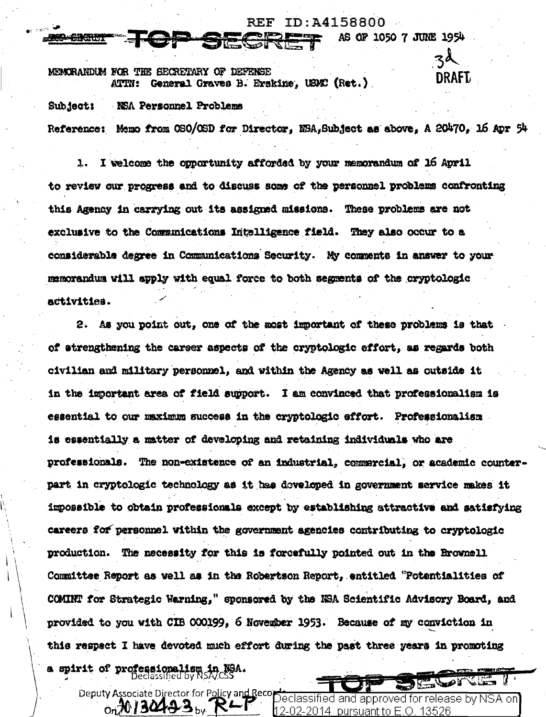ID:A4158800 **REF** AS OF 1050 7 JUNE 1954 zd MEMORANDIM FOR THE SECRETARY OF DEFENSE **DRAFT** 

General Graves B. Erskine. USMC (Ret.)

Sub ject: NSA Personnel Problems

Reference: Memo from OSO/OSD for Director. NSA, Subject as above. A 20470. 16 Apr 54

I welcome the opportunity afforded by your memorandum of 16 April  $\mathbf{L}$ to review our progress and to discuss some of the personnel problems confronting this Agency in carrying out its assigned missions. These problems are not exclusive to the Communications Intelligence field. They also occur to a considerable degree in Communications Security. My comments in answer to your memorandum will apply with equal force to both segments of the cryptologic activities.

2. As you point out, one of the most important of these problems is that of atrengthening the career aspects of the cryptologic effort, as regards both civilian and military personnel, and within the Agency as well as outside it in the important area of field support. I am convinced that professionalism is essential to our maximum success in the cryptologic effort. Professionalism is essentially a matter of developing and retaining individuals who are professionals. The non-existence of an industrial, commarcial, or academic counterpart in cryptologic technology as it has doveloped in government service makes it impossible to obtain professionals except by establishing attractive and satisfying careers for personnel within the government agencies contributing to cryptologic production. The necessity for this is forcefully pointed out in the Brownell Committee Report as well as in the Robertson Report, entitled "Potentialities of COMINT for Strategic Warning," sponsored by the NSA Scientific Advisory Board, and provided to you with CIB 000199, 6 November 1953. Because of my conviction in this respect I have devoted much effort during the past three years in promoting a spirit of professionalism in NSA. **B** 

Deputy Associate Director for Policy and Recordeclassified and approved for release by NSA on  $_{\text{On}}$ N 1304. 12-02-20<u>14\_pursuant to E.O. 13526</u>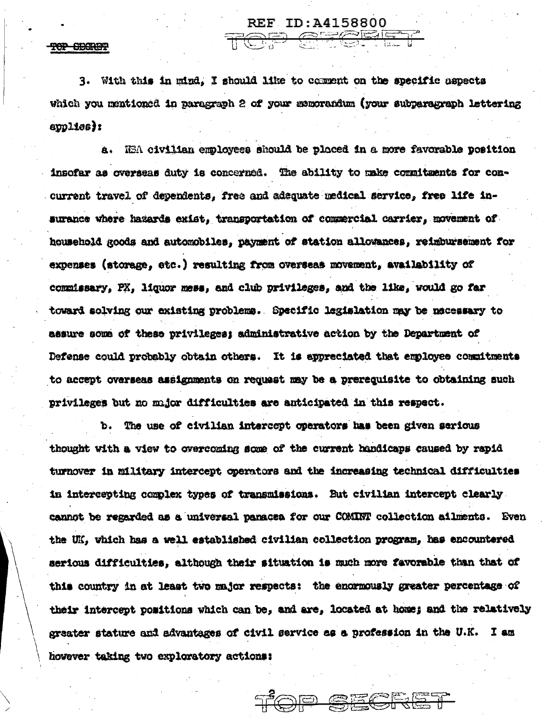**REF ID: A4158800** TOP SFEET

TOP CHORE?

3. With this in mind. I should like to comment on the specific aspects which you mentioned in paragraph 2 of your memorandum (your subparagraph lettering  $*$  (abiido $*$ 

a. NEA civilian employees should be ploced in a more favorable position insofar as overseas duty is concerned. The ability to make commitments for concurrent travel of dependents, free and adequate medical service, free life insurance where hazards exist, transportation of commercial carrier, movement of household goods and automobiles, payment of station allowances, reimbursement for expenses (storage. etc.) resulting from overseas movement, availability of commissary, PX, liquor mess, and club privileges, and the like, would go far toward solving our existing problems. Specific legislation may be nacessary to assure some of these privileges; administrative action by the Department of Defense could probably obtain others. It is appreciated that employee commitments to accept overseas assignments on request may be a prerequisite to obtaining such privileges but no major difficulties are anticipated in this respect.

The use of civilian intercept operators has been given serious ъ. thought with a view to overcoming some of the current handicaps caused by rapid turnover in military intercept operators and the increasing technical difficulties in intercepting complex types of transmissions. But civilian intercept clearly cannot be regarded as a universal paracea for our COMINT collection ailments. Even the UK, which has a well established civilian collection program, has encountered serious difficulties, although their situation is much more favorable than that of this country in at least two major respects: the enormously greater percentage of their intercept positions which can be, and are, located at home; and the relatively greater stature and advantages of civil service as a profession in the U.K. I am however taking two exploratory actions:

TOP SECRET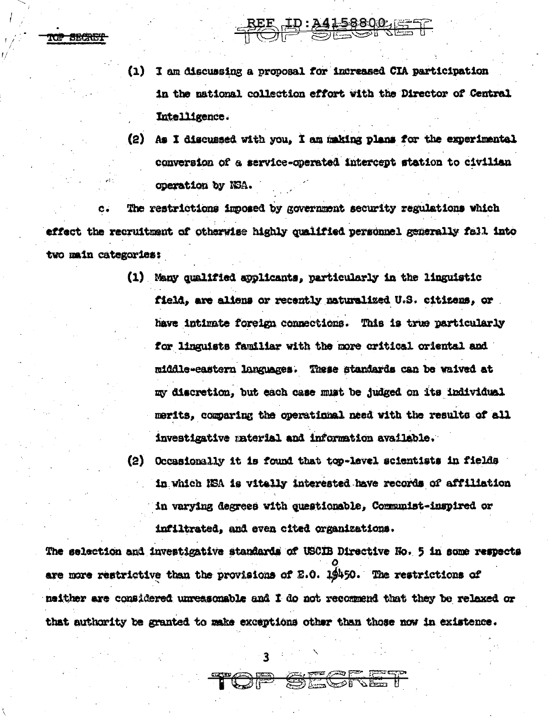TOP SECRET

I am discussing a proposal for increased CIA participation (1) in the national collection effort with the Director of Central Intelligence.

REE ID: 241-58800, ET

(2) As I discussed with you. I am making plans for the experimental conversion of a service-operated intercept station to civilian operation by NSA.

The restrictions imposed by government security regulations which  $\mathbf{c}$ . effect the recruitment of otherwise highly qualified personnel generally fall into two main categories:

- (1) Many qualified applicants, particularly in the linguistic field, are aliens or recently naturalized U.S. citizens, or have intimate foreign connections. This is true particularly for linguists familiar with the more critical oriental and middle-castern languages. These standards can be waived at my discretion, but each case must be judged on its individual merits, comparing the operational need with the results of all investigative material and information available.
- (2) Occasionally it is found that top-level scientists in fields in which NSA is vitally interested have records of affiliation in varying degrees with questionable, Communist-inspired or infiltrated, and even cited organizations.

The selection and investigative standards of USCIB Directive No. 5 in some respects are more restrictive than the provisions of E.O. 19450. The restrictions of neither are considered unreasonable and I do not recommend that they be relaxed or that authority be granted to make exceptions other than those now in existence.

TOP SEGRET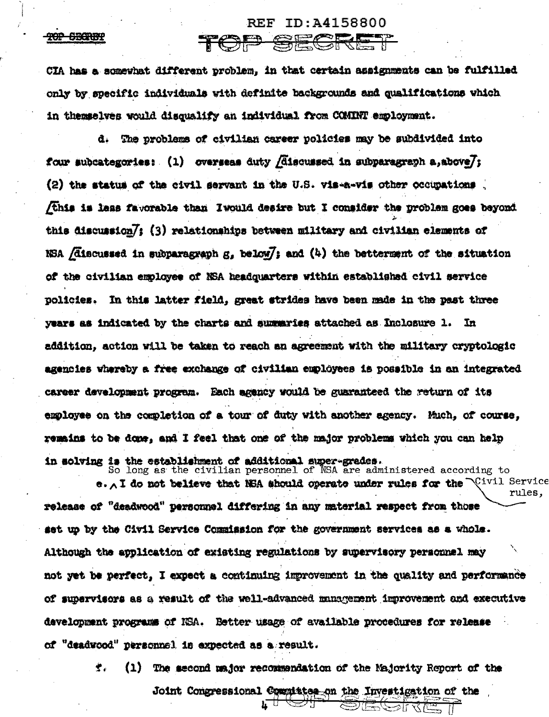## **REF** ID:A4158800

**TOP SBORBE** 

CIA has a somewhat different problem, in that certain assignments can be fulfilled only by specific individuals with definite backgrounds and qualifications which in themselves would disqualify an individual from COMINT employment.

TOP SE

d. The problems of civilian career policies may be subdivided into four subcategories:  $(1)$  overseas duty *[discussed in subparagraph a, above]*; (2) the status of the civil servant in the U.S. vis-a-vis other occupations this is less favorable than Iwould desire but I consider the problem goes beyond this discussion/; (3) relationships between military and civilian elements of NSA  $/$ discussed in subparagraph  $g_s$  below $/$ ; and  $(4)$  the betterment of the situation of the civilian employee of NSA headquarters within established civil service policies. In this latter field, great strides have been made in the past three years as indicated by the charts and summaries attached as Inclosure 1. In addition, action will be taken to reach an agreement with the military cryptologic agencies whereby a free exchange of civilian employees is possible in an integrated career development program. Each agency would be guaranteed the return of its employee on the completion of a tour of duty with another agency. Much, of course, remains to be done, and I feel that one of the major problems which you can help in solving is the establishment of additional super-grades. So long as the civilian personnel of NSA are administered according to

e. A I do not believe that NSA should operate under rules for the  $\mathbb{Q}$ ivil Service rules, release of "deadwood" personnel differing in any material respect from those set up by the Civil Service Commission for the government services as a whole. Although the application of existing regulations by supervisory personnel may not yet be perfect, I expect a continuing improvement in the quality and performance of supervisors as a result of the well-advanced management improvement and executive development programs of NSA. Better usage of available procedures for release of "deadwood" personnel is expected as a result.

> 堂山 (1) The second major recommendation of the Majority Report of the

> > Joint Congressional Compittee on the Investigation of the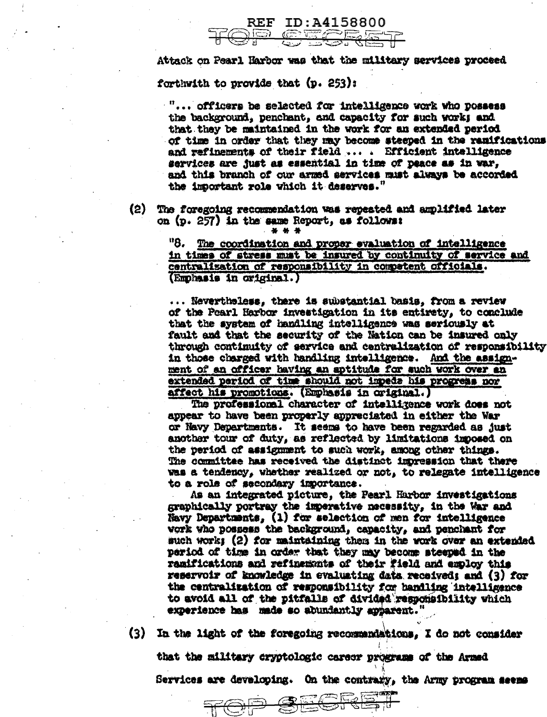## **REF** ID:A4158800 CECER

Attack on Pearl Harbor was that the military services proceed forthwith to provide that (p. 253):

"... officers be selected for intelligence work who possess the background, penchant, and capacity for such works and that they be maintained in the work for an extended period of time in order that they may become steeped in the ramifications and refinements of their field ... . Efficient intelligence services are just as essential in time of peace as in war, and this branch of our armed services must always be accorded the important role which it deserves."

(2) The foregoing recommendation was repeated and amplified later on (p. 257) in the same Report, as follows: 

> "8. The coordination and proper evaluation of intelligence in times of stress must be insured by continuity of service and centralization of responsibility in competent officials. (Emphasis in original.)

... Nevertheless, there is substantial basis, from a review of the Pearl Harbor investigation in its entirety, to conclude that the system of handling intelligence was seriously at fault and that the security of the Nation can be insured only through continuity of service and centralization of responsibility in those charged with handling intelligence. And the assignment of an officer baving an aptitude for such work over an extended period of time should not impede his progress nor affect his promotions. (Emphasis in original.)

The professional character of intelligence work does not appear to have been properly appreciated in either the War or Navy Departments. It seems to have been regarded as just another tour of duty, as reflected by limitations imposed on the period of assignment to such work, among other things. The committee has received the distinct impression that there was a tendency, whether realized or not, to relegate intelligence to a role of secondary importance.

As an integrated picture, the Pearl Harbor investigations graphically portray the imperative necessity, in the War and Navy Departments, (1) for selection of men for intelligence vork who possess the background, capacity, and penchant for such work; (2) for maintaining them in the work over an extended period of time in order that they may become steeped in the ramifications and refinements of their field and employ this reservoir of knowledge in evaluating data received; and (3) for the centralization of responsibility for bandling intelligence to avoid all of the pitfalls of divided responsibility which experience has made so abundantly apparent."

(3) In the light of the foregoing recommendations, I do not consider

that the military cryptologic career programs of the Armed

Services are developing. On the contrary, the Army program seems

 $, \sqrt{2}$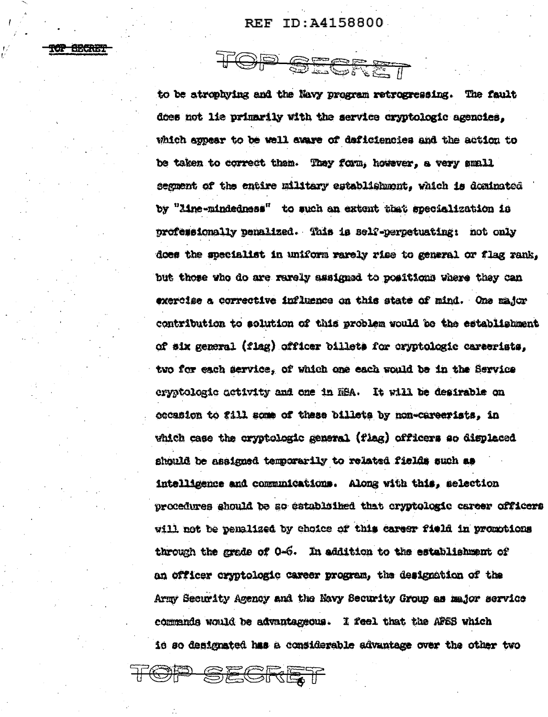TOP SECRET

rop Secret

to be atrophying and the Navy program retrogressing. The fault does not lie primarily with the service cryptologic agencies, which appear to be well aware of deficiencies and the action to be taken to correct them. They form, however, a very small segment of the entire military establishment. which is dominated by "line-mindedness" to such an extent that specialization is professionally penalized. This is self-perpetuating: not only does the specialist in uniform rarely rise to general or flag rank. but those who do are rarely assigned to positions where they can exercise a corrective influence on this state of mind. One major contribution to solution of this problem would be the establishment of six general (flag) officer billets for cryptologic careerists. two for each service, of which one each would be in the Service eryptologic activity and one in HEA. It will be desirable on occasion to fill some of these billets by non-careerists. in which case the cryptologic general (flag) officers so displaced should be assigned temporarily to related fields such as intelligence and communications. Along with this, selection procedures should be so catablaiked that cryptologic career officers will not be penalized by choice of this career field in promotions through the grade of 0-6. In addition to the establishment of an officer cryptologic career program, the designation of the Army Security Agency and the Navy Security Group as major service commends would be advantageous. I feel that the AFSS which id so designated has a considerable advantage over the other two

OP SEGRET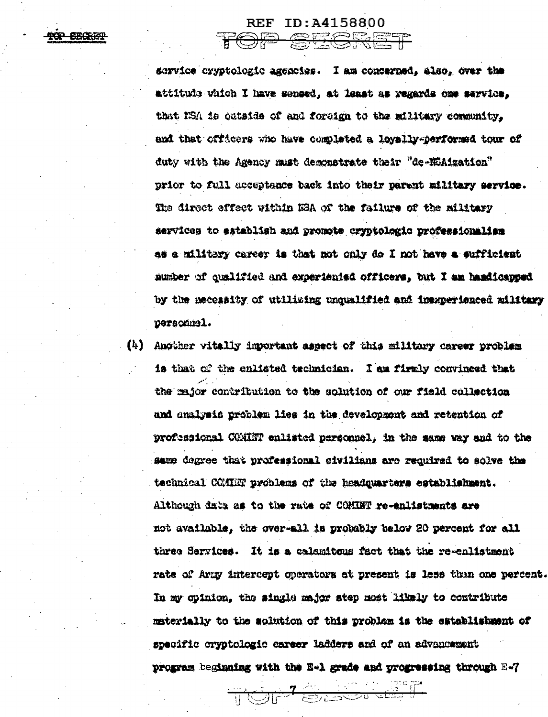service cryptologic agencies. I am concerned, also, over the attitude vhich I have sensed, at least as regards one service. that NSA is cutside of and foreign to the military community. and that officers who have completed a lovally-performed tour of duty with the Agency must deconstrate their "de-MSAization" prior to full acceptance back into their parent military service. The direct effect within KSA of the failure of the military services to establish and promote cryptologic professionalism as a military career is that not only do I not have a sufficient number of qualified and experiented officers. but I am hamilcapped by the necessity of utilising unqualified and inexperienced military personnel.

REF ID: 44158800 TOP SECRET

(4) Another vitally important aspect of this military career problem is that of the enlisted technician. I am firmly convinced that the major contribution to the solution of our field collection and analysis problem lies in the development and retention of professional COMINT enlisted personnel, in the same way and to the same degree that professional civilians are required to solve the technical COMMNT problems of the headquarters establishment. Although data as to the rate of COMINT re-enlistments are not available, the over-all is probably below 20 percent for all three Services. It is a calenttous fact that the re-enlistment rate of Army intercept operators at present is less than one percent. In my opinion, the single major step most likely to contribute materially to the solution of this problem is the establishment of specific cryptologic career ladders and of an advancement program beginning with the E-1 grade and progressing through E-7

**THE OFFICE AND STRATEGIC AND STRATEGIC**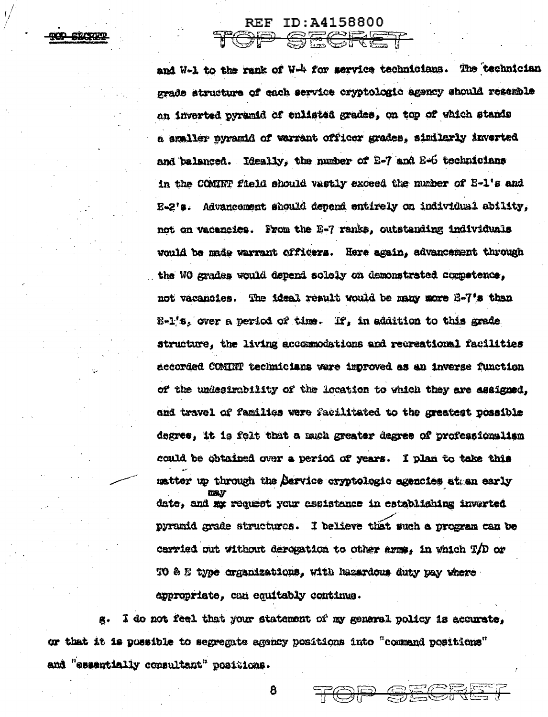**TOP STORE** 

REF ID: 44158800

SECRET

and W-1 to the rank of W-4 for service technicians. The technician grade structure of each service cryptologic agency should resemble an inverted pyramid of enlisted grades, on top of which stands a amaller nuramid of warrant officer grades. similarly inverted and balanced. Ideally, the number of 2-7 and 2-6 technicians in the COMINF field should vastly exceed the number of E-l's and E-2's. Advancement should depend entirely on individual ability, not on vacancies. From the E-7 ranks, outstanding individuals would be made warrant officers. Here again, advancement through the WO grades would depend solely on demonstrated competence, not vacancies. The ideal result would be many more E-7's than  $E - 1$ 's, over a period of time. If, in addition to this grade structure, the living accomodations and recreational facilities accorded COMINT technicians were improved as an inverse function of the undesirability of the location to which they are assigned. and travel of families were facilitated to the greatest possible degree, it is felt that a much greater degree of professionalism could be obtained over a period of years. I plan to take this matter up through the Service eryptologic exencies at an early date, and my request your assistance in establishing inverted pyramid grade structures. I believe that such a program can be carried out without derowation to other arms. in which T/D or TO & E type organizations, with hazardous duty pay where appropriate, can equitably continue.

<u>IEOR</u>

I do not feel that your statement of my general policy is accurate. æ. or that it is possible to segregate agency positions into "command positions" and "essentially consultant" positions.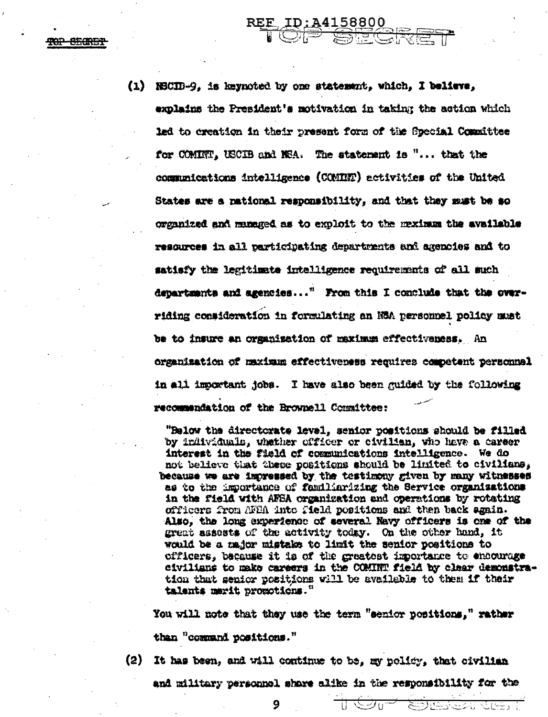(1) NBCID-9, is keynoted by one statement, which, I believe, explains the President's motivation in taking the action which led to creation in their present form of the Special Committee for COMINT, USCIB and NSA. The statement is "... that the communications intelligence (COMINT) activities of the United States are a national responsibility, and that they must be so organized and managed as to exploit to the maximum the available resources in all participating departments and axencies and to satisfy the legitimate intelligence requirements of all such departments and agencies..." From this I conclude that the overriding consideration in formulating an NSA personnel policy must be to insure an organization of maximum effectiveness. An organization of maximum effectiveness requires competent personnel in all important jobs. I have also been guided by the following recommendation of the Brownell Committee:

REE ID:A4158800

"Below the directorate level, senior positions should be filled by individuals, whether officer or civilian, who have a career interest in the field of communications intelligence. We do not believe that these positions should be limited to civilians, because we are impressed by the testimony given by many witnesses as to the importance of familiarizing the Service organisations in the field with AFSA organization and operations by rotating officers from AFEA into field positions and then back again. Also, the long experience of several Navy officers is one of the great assests of the activity today. On the other hand, it would be a major mistake to limit the senior positions to officers, because it is of the greatest importance to encourage civilians to make careers in the COMINT field by clear demonstration that senior positions will be available to them if their talents merit promotions."

You will note that they use the term "senior positions," rather than "command positions."

(2) It has been, and will continue to be, my policy, that civilian

and military personnel share alike in the responsibility for the

ਵਤਾਜ

ا : المسارك التي المسارات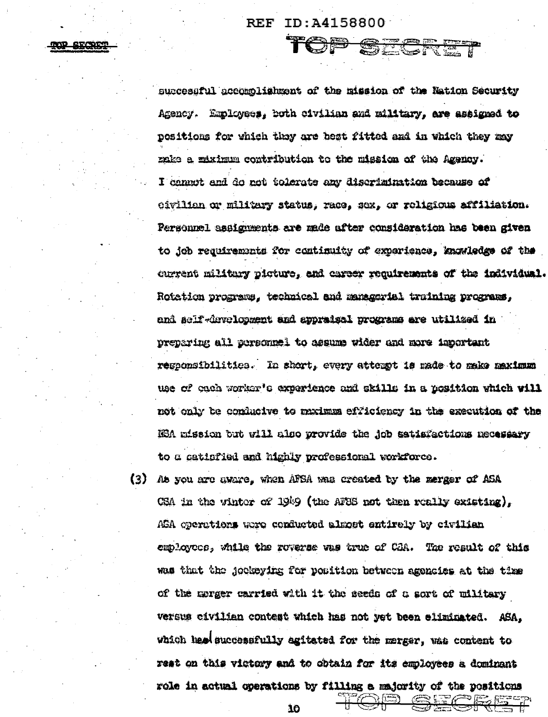**REF** ID:A4158800

**SECRET** 

<del>Sei</del>

successful accomolishment of the mission of the Nation Security Agency. Employees. both civilian and military, are assigned to positions for which they are best fitted and in which they may make a miximum contribution to the mission of the Agency. I cannot and do not tolerate any discrimination because of oivilian or militury status, race, sex, or religious affiliation. Personnel assignments are made after consideration has been given to job requirements for continuity of experience, knowledge of the current military picture, and career requirements of the individual. Rotation proximus, technical and managerial training programs, and self-druelopment and appraisal programs are utilized in preparing all personnel to assume wider and more important responsibilities. In short, every attempt is made to make maximum use of oach worker's experience and skills in a position which will not only be conducive to maximum efficiency in the execution of the ISA mission but will also provide the job satisfactions necessary to a catiofied and highly professional workforce.

(3) Ab you are aware, when AFSA was created by the merger of ASA CSA in the vintor of  $19\%9$  (the AFSS not then really existing). ASA operations were conducted almost entirely by civilian employees, while the roverse was true of CBA. The result of this was that the jockeying for position between agencies at the time of the morger carried with it the seeds of a sort of military versus eivilian contest which has not yet been eliminated. ASA. which had successfully agitated for the merger, was content to rest on this victory and to obtain for its employees a dominant role in actual operations by filling a majority of the positions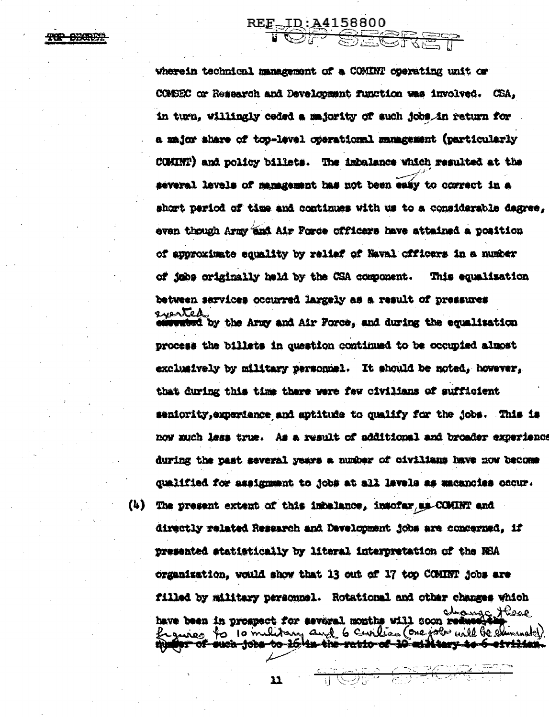TOP SHARBE

wherein technical management of a COMINT operating unit or COMBEC or Research and Development function was involved. CSA. in turn, willingly ceded a majority of such jobs in return for a major share of top-level operational management (particularly COMINT) and policy billets. The imbalance which resulted at the several levels of management has not been easy to correct in a short period of time and continues with us to a considerable degree. even though Army and Air Force officers have attained a position of approximate squality by relief of Naval officers in a number of jobs originally held by the CSA component. This counlization between services occurred largely as a result of pressures everted webed by the Army and Air Force. and during the equalization process the billets in question continued to be occupied almost exclusively by military personnel. It should be noted, however, that during this time there were few civilians of sufficient seniority, experience and aptitude to qualify for the jobs. This is now much less true. As a result of additional and broader experience during the past several years a number of civilians have now become qualified for assignment to jobs at all levels as macancies cocur. (4) The present extent of this inbelance, insofar as COMINT and

REE\_ID:A4158800

directly related Research and Development jobs are concerned. if presented atatistically by literal interpretation of the NSA organization, would show that 13 out of 17 top COMINT jobs are filled by military personnel. Rotational and other changes which have been in prospect for several months will soon reduced the figures to 10 military and 6 Curilian (One job will be eliminated).

TOP OFFICIAL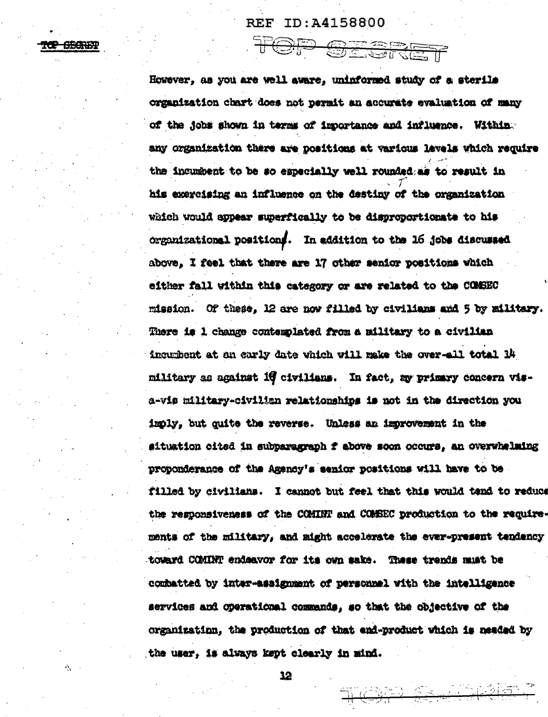## **REF ID:A4158800**

TOP OESRET

<del>ice sbaut</del>

However, as you are well aware, uninformed study of a sterile organization chart does not permit an accurate evaluation of many of the jobs shown in terms of importance and influence. Within. any organization there are positions at various levels which require the incumbent to be so especially well rounded as to result in his exercising an influence on the destiny of the organization which would appear superfically to be disproportionate to his organizational positions. In addition to the 16 jobs discussed above. I feel that there are 17 other senior positions which either fall within this category or are related to the COMSEC mission. Of these, 12 are now filled by civilians and 5 by military. There is 1 change contemplated from a military to a civilian incumbent at an early date which will make the over-all total 14 military as against 10 civilians. In fact, my primary concern visa-vis military-civilian relationships is not in the direction you imply, but quite the reverse. Unless an improvement in the situation cited in subparagraph f above soon occurs, an overwhelming proponderance of the Agency's senior positions will have to be filled by civilians. I cannot but feel that this would tend to reduce the responsiveness of the COMINT and COMBEC production to the requirements of the military, and might accelerate the ever-present tendency toward COMINT endeavor for its own sake. These trends must be combatted by inter-assignment of personnel with the intelligence services and operational commands, so that the objective of the organization, the production of that end-product which is needed by the user, is always kept clearly in mind.

12

<u>TOPP CREADERS</u>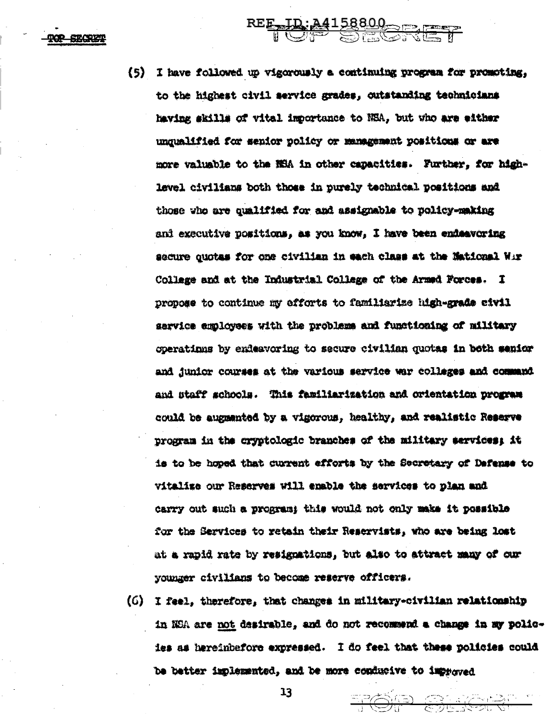-820833

(5) I have followed up vigorously a continuing program for promoting, to the highest civil service grades, outstanding technicians having skills of vital importance to NSA, but vho are either unqualified for senior policy or management positions or are more valuable to the NSA in other capacities. Further, for highlevel civilians both those in purely technical positions and those who are qualified for and assignable to policy-making and executive positions. as you know, I have been endeavoring secure quotas for one civilian in each class at the Mational Wir College and at the Industrial College of the Armed Forces. I propose to continue my efforts to familiarize high-grade civil service employees with the problems and functioning of military coerations by endeavoring to secure civilian quotas in both senior and junior courses at the various service war colleges and command and staff schools. This familiarization and orientation program could be augusnted by a vigorous, healthy, and realistic Reserve program in the cryptologic branches of the military services; it is to be hoped that current efforts by the Secretary of Defense to vitalize our Reserves will enable the services to plan and carry out such a program; this would not only make it possible for the Services to retain their Reservists, who are being lost at a rapid rate by resignations, but also to attract many of our younger civilians to become reserve officers.

REE TD: 24158800

(6) I feel, therefore, that changes in military-civilian relationship in NSA are not desirable, and do not recommend a change in my policies as hereinbefore expressed. I do feel that these policies could be better implemented, and be more conducive to improved

TOT SILES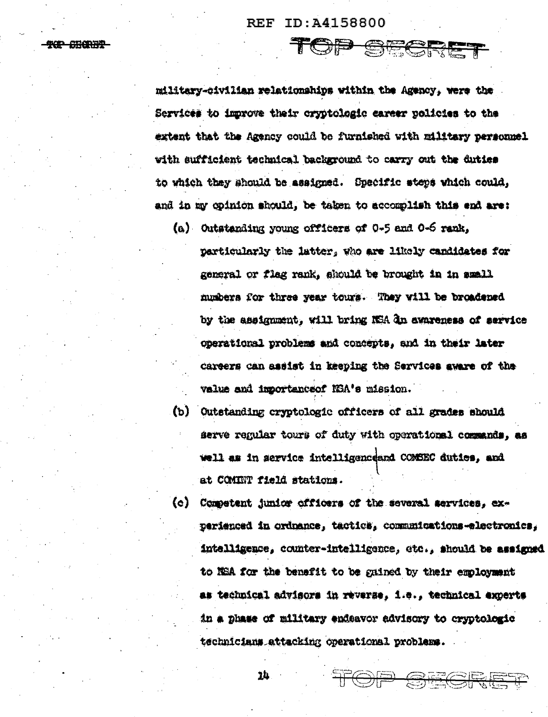**REF** ID:A4158800

TOP SHORAP

military-civilian relationships within the Agency, were the Services to improve their cryptologic career policies to the extent that the Agency could be furnished with military personnel with sufficient technical background to carry out the duties to which they should be assigned. Specific steps which could, and in my opinion should, be taken to accomplish this end are:

TOP SECRET

(a) Outstanding young officers of 0-5 and 0-6 rank, particularly the latter, who are likely candidates for general or flag rank, should be brought in in small numbers for three year tours. They will be broadened by the assignment, will bring NSA dn awareness of service operational problems and concepts, and in their later careers can assist in keeping the Services aware of the value and importance of NSA's mission.

 $(b)$ Outstanding cryptologic officers of all grades should serve regular tours of duty with operationsl commands, as well as in service intelligenceand COMSEC duties, and at COMINT field stations.

Competent junior officers of the several services, ex- $\langle \circ \rangle$ perienced in ordnance, tactics, communications-electronics, intelligence, counter-intelligence, etc., should be assigned to NEA for the benefit to be gained by their employment as technical advisors in reverse, i.e., technical experts in a phase of military endeavor advisory to cryptologic technicians attacking operational problems.

TOP SEGRET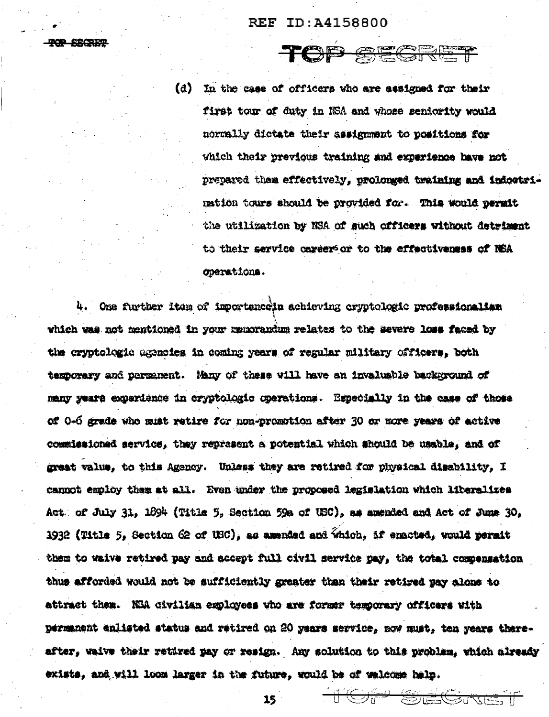**MOR SECRET** 

(d) In the case of officers who are assigned for their first tour of duty in NSA and whose seniority would normally dictate their assignment to positions for which their previous training and experience have not prepared then effectively, prolonged training and indoctrimation tours should be provided for. This would permit the utilization by NSA of such officers without detriment to their service career or to the effectiveness of NSA operations.

TOP SECRET

4. One further item of importance in achieving cryptologic professionalism which was not mentioned in your memorandum relates to the severe loss faced by the cryptologic agencies in coming years of regular military officers, both temporary and permanent. Many of these will have an invaluable background of many years experience in cryptologic operations. Especially in the case of those of 0-6 grade who must retire for non-promotion after 30 or more years of active commissioned service, they represent a potential which should be usable, and of great value, to this Agency. Unless they are retired for physical disability, I cannot employ them at all. Even under the proposed legislation which liberalizes Act: of July 31, 1894 (Title 5, Section 59a of USC), as amended and Act of June 30, 1932 (Title 5, Section 62 of USC), as amended and Which, if enacted, would perait them to waive retired pay and accept full civil service pay, the total compensation thus afforded would not be sufficiently greater than their retired pay alone to attract them. NEA civilian exployees who are former temporary officers with permanent enlisted status and retired on 20 years service, now must, ten years thereafter, waive their retired pay or resign. Any solution to this problem, which already exists, and will loom larger in the future, would be of welcome help.

15

TO STATE THE CONTRACT